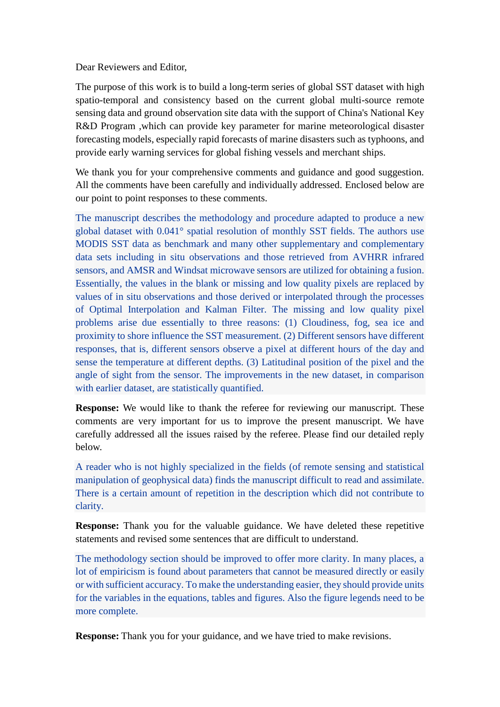Dear Reviewers and Editor,

The purpose of this work is to build a long-term series of global SST dataset with high spatio-temporal and consistency based on the current global multi-source remote sensing data and ground observation site data with the support of China's National Key R&D Program ,which can provide key parameter for marine meteorological disaster forecasting models, especially rapid forecasts of marine disasters such as typhoons, and provide early warning services for global fishing vessels and merchant ships.

We thank you for your comprehensive comments and guidance and good suggestion. All the comments have been carefully and individually addressed. Enclosed below are our point to point responses to these comments.

The manuscript describes the methodology and procedure adapted to produce a new global dataset with 0.041° spatial resolution of monthly SST fields. The authors use MODIS SST data as benchmark and many other supplementary and complementary data sets including in situ observations and those retrieved from AVHRR infrared sensors, and AMSR and Windsat microwave sensors are utilized for obtaining a fusion. Essentially, the values in the blank or missing and low quality pixels are replaced by values of in situ observations and those derived or interpolated through the processes of Optimal Interpolation and Kalman Filter. The missing and low quality pixel problems arise due essentially to three reasons: (1) Cloudiness, fog, sea ice and proximity to shore influence the SST measurement. (2) Different sensors have different responses, that is, different sensors observe a pixel at different hours of the day and sense the temperature at different depths. (3) Latitudinal position of the pixel and the angle of sight from the sensor. The improvements in the new dataset, in comparison with earlier dataset, are statistically quantified.

**Response:** We would like to thank the referee for reviewing our manuscript. These comments are very important for us to improve the present manuscript. We have carefully addressed all the issues raised by the referee. Please find our detailed reply below.

A reader who is not highly specialized in the fields (of remote sensing and statistical manipulation of geophysical data) finds the manuscript difficult to read and assimilate. There is a certain amount of repetition in the description which did not contribute to clarity.

**Response:** Thank you for the valuable guidance. We have deleted these repetitive statements and revised some sentences that are difficult to understand.

The methodology section should be improved to offer more clarity. In many places, a lot of empiricism is found about parameters that cannot be measured directly or easily or with sufficient accuracy. To make the understanding easier, they should provide units for the variables in the equations, tables and figures. Also the figure legends need to be more complete.

**Response:** Thank you for your guidance, and we have tried to make revisions.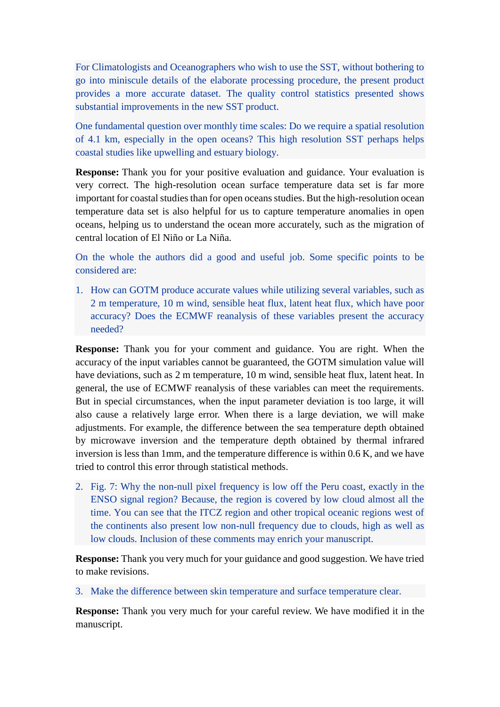For Climatologists and Oceanographers who wish to use the SST, without bothering to go into miniscule details of the elaborate processing procedure, the present product provides a more accurate dataset. The quality control statistics presented shows substantial improvements in the new SST product.

One fundamental question over monthly time scales: Do we require a spatial resolution of 4.1 km, especially in the open oceans? This high resolution SST perhaps helps coastal studies like upwelling and estuary biology.

**Response:** Thank you for your positive evaluation and guidance. Your evaluation is very correct. The high-resolution ocean surface temperature data set is far more important for coastal studies than for open oceans studies. But the high-resolution ocean temperature data set is also helpful for us to capture temperature anomalies in open oceans, helping us to understand the ocean more accurately, such as the migration of central location of El Niño or La Niña.

On the whole the authors did a good and useful job. Some specific points to be considered are:

1. How can GOTM produce accurate values while utilizing several variables, such as 2 m temperature, 10 m wind, sensible heat flux, latent heat flux, which have poor accuracy? Does the ECMWF reanalysis of these variables present the accuracy needed?

**Response:** Thank you for your comment and guidance. You are right. When the accuracy of the input variables cannot be guaranteed, the GOTM simulation value will have deviations, such as 2 m temperature, 10 m wind, sensible heat flux, latent heat. In general, the use of ECMWF reanalysis of these variables can meet the requirements. But in special circumstances, when the input parameter deviation is too large, it will also cause a relatively large error. When there is a large deviation, we will make adjustments. For example, the difference between the sea temperature depth obtained by microwave inversion and the temperature depth obtained by thermal infrared inversion is less than 1mm, and the temperature difference is within 0.6 K, and we have tried to control this error through statistical methods.

2. Fig. 7: Why the non-null pixel frequency is low off the Peru coast, exactly in the ENSO signal region? Because, the region is covered by low cloud almost all the time. You can see that the ITCZ region and other tropical oceanic regions west of the continents also present low non-null frequency due to clouds, high as well as low clouds. Inclusion of these comments may enrich your manuscript.

**Response:** Thank you very much for your guidance and good suggestion. We have tried to make revisions.

3. Make the difference between skin temperature and surface temperature clear.

**Response:** Thank you very much for your careful review. We have modified it in the manuscript.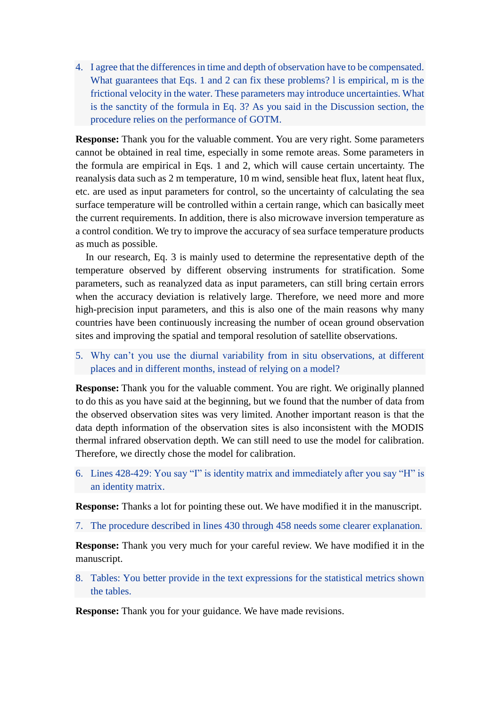4. I agree that the differences in time and depth of observation have to be compensated. What guarantees that Eqs. 1 and 2 can fix these problems? I is empirical, m is the frictional velocity in the water. These parameters may introduce uncertainties. What is the sanctity of the formula in Eq. 3? As you said in the Discussion section, the procedure relies on the performance of GOTM.

**Response:** Thank you for the valuable comment. You are very right. Some parameters cannot be obtained in real time, especially in some remote areas. Some parameters in the formula are empirical in Eqs. 1 and 2, which will cause certain uncertainty. The reanalysis data such as 2 m temperature, 10 m wind, sensible heat flux, latent heat flux, etc. are used as input parameters for control, so the uncertainty of calculating the sea surface temperature will be controlled within a certain range, which can basically meet the current requirements. In addition, there is also microwave inversion temperature as a control condition. We try to improve the accuracy of sea surface temperature products as much as possible.

In our research, Eq. 3 is mainly used to determine the representative depth of the temperature observed by different observing instruments for stratification. Some parameters, such as reanalyzed data as input parameters, can still bring certain errors when the accuracy deviation is relatively large. Therefore, we need more and more high-precision input parameters, and this is also one of the main reasons why many countries have been continuously increasing the number of ocean ground observation sites and improving the spatial and temporal resolution of satellite observations.

5. Why can't you use the diurnal variability from in situ observations, at different places and in different months, instead of relying on a model?

**Response:** Thank you for the valuable comment. You are right. We originally planned to do this as you have said at the beginning, but we found that the number of data from the observed observation sites was very limited. Another important reason is that the data depth information of the observation sites is also inconsistent with the MODIS thermal infrared observation depth. We can still need to use the model for calibration. Therefore, we directly chose the model for calibration.

6. Lines 428-429: You say "I" is identity matrix and immediately after you say "H" is an identity matrix.

**Response:** Thanks a lot for pointing these out. We have modified it in the manuscript.

7. The procedure described in lines 430 through 458 needs some clearer explanation.

**Response:** Thank you very much for your careful review. We have modified it in the manuscript.

8. Tables: You better provide in the text expressions for the statistical metrics shown the tables.

**Response:** Thank you for your guidance. We have made revisions.